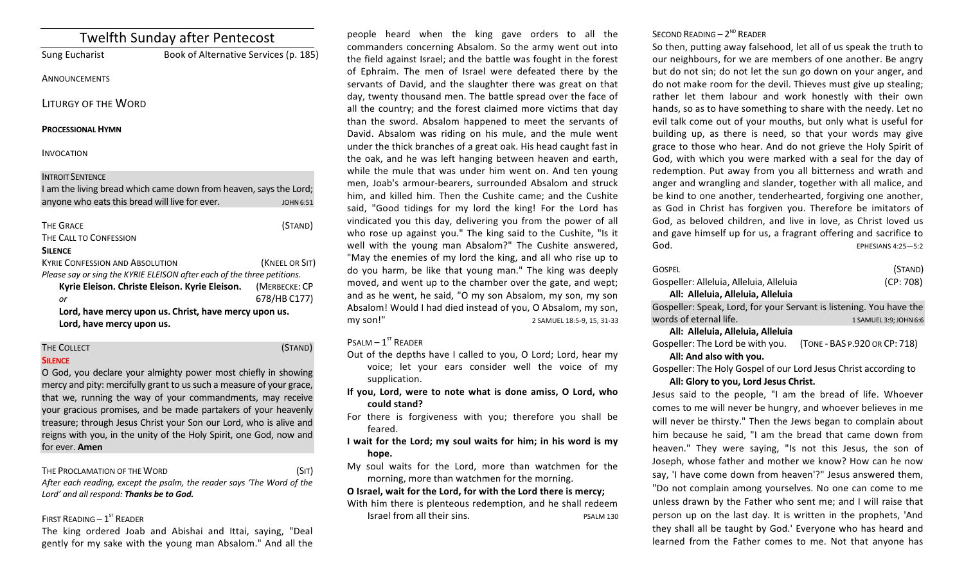| <b>Twelfth Sunday after Pentecost</b>                                                                                                          |                                       |                               |
|------------------------------------------------------------------------------------------------------------------------------------------------|---------------------------------------|-------------------------------|
| <b>Sung Eucharist</b>                                                                                                                          | Book of Alternative Services (p. 185) |                               |
| <b>ANNOUNCEMENTS</b>                                                                                                                           |                                       |                               |
| <b>LITURGY OF THE WORD</b>                                                                                                                     |                                       |                               |
| <b>PROCESSIONAL HYMN</b>                                                                                                                       |                                       |                               |
| <b>INVOCATION</b>                                                                                                                              |                                       |                               |
| <b>INTROIT SENTENCE</b><br>I am the living bread which came down from heaven, says the Lord;<br>anyone who eats this bread will live for ever. |                                       | <b>JOHN 6:51</b>              |
| <b>THE GRACE</b><br>THE CALL TO CONFESSION<br><b>SILENCE</b>                                                                                   |                                       | (STAND)                       |
| <b>KYRIE CONFESSION AND ABSOLUTION</b><br>Please say or sing the KYRIE ELEISON after each of the three petitions.                              |                                       | (KNEEL OR SIT)                |
| Kyrie Eleison. Christe Eleison. Kyrie Eleison.<br>or                                                                                           |                                       | (MERBECKE: CP<br>678/HB C177) |
| Lord, have mercy upon us. Christ, have mercy upon us.<br>Lord, have mercy upon us.                                                             |                                       |                               |

#### THE COLLECT **THE COLLECT COLLECT COLLECT COLLECT COLLECT COLLECT COLLECT COLLECT COLLECT COLLECT SILENCE**

O God, you declare your almighty power most chiefly in showing mercy and pity: mercifully grant to us such a measure of your grace, that we, running the way of your commandments, may receive your gracious promises, and be made partakers of your heavenly treasure; through Jesus Christ your Son our Lord, who is alive and reigns with you, in the unity of the Holy Spirit, one God, now and for ever. **Amen** 

#### THE PROCLAMATION OF THE WORD (SIT)

After each reading, except the psalm, the reader says 'The Word of the Lord' and all respond: **Thanks be to God.** 

## FIRST READING  $-1^\text{ST}$  READER

The king ordered Joab and Abishai and Ittai, saying, "Deal gently for my sake with the young man Absalom." And all the

people heard when the king gave orders to all the commanders concerning Absalom. So the army went out into the field against Israel; and the battle was fought in the forest of Ephraim. The men of Israel were defeated there by the servants of David, and the slaughter there was great on that day, twenty thousand men. The battle spread over the face of all the country; and the forest claimed more victims that day than the sword. Absalom happened to meet the servants of David. Absalom was riding on his mule, and the mule went under the thick branches of a great oak. His head caught fast in the oak, and he was left hanging between heaven and earth, while the mule that was under him went on. And ten young men, Joab's armour-bearers, surrounded Absalom and struck him, and killed him. Then the Cushite came; and the Cushite said, "Good tidings for my lord the king! For the Lord has vindicated you this day, delivering you from the power of all who rose up against you." The king said to the Cushite, "Is it well with the young man Absalom?" The Cushite answered, "May the enemies of my lord the king, and all who rise up to do you harm, be like that young man." The king was deeply moved, and went up to the chamber over the gate, and wept; and as he went, he said, "O my son Absalom, my son, my son Absalom! Would I had died instead of you, O Absalom, my son, my son!" 2 SAMUEL 18:5-9, 15, 31-33

## $P$ SALM –  $1<sup>ST</sup>$  READER

- Out of the depths have I called to you, O Lord; Lord, hear my voice; let your ears consider well the voice of my supplication.
- If you, Lord, were to note what is done amiss, O Lord, who **could stand?**
- For there is forgiveness with you; therefore you shall be feared.
- I wait for the Lord; my soul waits for him; in his word is my **hope.**
- My soul waits for the Lord, more than watchmen for the morning, more than watchmen for the morning.

**O** Israel, wait for the Lord, for with the Lord there is mercy; With him there is plenteous redemption, and he shall redeem Israel from all their sins. The contract of the psalm 130

# SECOND READING  $- 2<sup>ND</sup>$  READER

So then, putting away falsehood, let all of us speak the truth to our neighbours, for we are members of one another. Be angry but do not sin; do not let the sun go down on your anger, and do not make room for the devil. Thieves must give up stealing; rather let them labour and work honestly with their own hands, so as to have something to share with the needy. Let no evil talk come out of your mouths, but only what is useful for building up, as there is need, so that your words may give grace to those who hear. And do not grieve the Holy Spirit of God, with which you were marked with a seal for the day of redemption. Put away from you all bitterness and wrath and anger and wrangling and slander, together with all malice, and be kind to one another, tenderhearted, forgiving one another, as God in Christ has forgiven you. Therefore be imitators of God, as beloved children, and live in love, as Christ loved us and gave himself up for us, a fragrant offering and sacrifice to  $God$ 

| <b>GOSPEL</b>                                                                                                                                                                                                                  | (STAND)                                      |  |
|--------------------------------------------------------------------------------------------------------------------------------------------------------------------------------------------------------------------------------|----------------------------------------------|--|
| Gospeller: Alleluia, Alleluia, Alleluia                                                                                                                                                                                        | (CP: 708)                                    |  |
| All: Alleluia, Alleluia, Alleluia                                                                                                                                                                                              |                                              |  |
| Gospeller: Speak, Lord, for your Servant is listening. You have the                                                                                                                                                            |                                              |  |
| words of eternal life.                                                                                                                                                                                                         | 1 SAMUEL 3:9; JOHN 6:6                       |  |
| All: Alleluia, Alleluia, Alleluia                                                                                                                                                                                              |                                              |  |
| And a second that complete the second that a constant constant of the second second that the second second second the second second second second second second second second second second second second second second second | $(T_{\text{out}} - DAC - 0.30 - 0.00 - 740)$ |  |

Gospeller: The Lord be with you. (TONE - BAS P.920 OR CP: 718) All: And also with you.

Gospeller: The Holy Gospel of our Lord Jesus Christ according to

## All: Glory to you, Lord Jesus Christ.

Jesus said to the people, "I am the bread of life. Whoever comes to me will never be hungry, and whoever believes in me will never be thirsty." Then the Jews began to complain about him because he said, "I am the bread that came down from heaven." They were saying, "Is not this Jesus, the son of Joseph, whose father and mother we know? How can he now say, 'I have come down from heaven'?" Jesus answered them, "Do not complain among yourselves. No one can come to me unless drawn by the Father who sent me; and I will raise that person up on the last day. It is written in the prophets, 'And they shall all be taught by God.' Everyone who has heard and learned from the Father comes to me. Not that anyone has